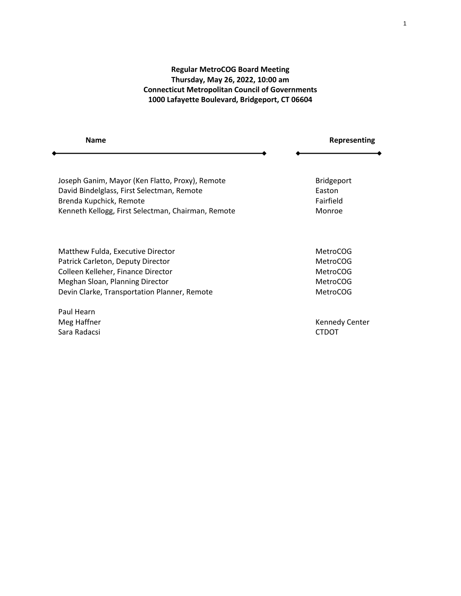# **Regular MetroCOG Board Meeting Thursday, May 26, 2022, 10:00 am Connecticut Metropolitan Council of Governments 1000 Lafayette Boulevard, Bridgeport, CT 06604**

| <b>Name</b>                                        | Representing      |
|----------------------------------------------------|-------------------|
|                                                    |                   |
| Joseph Ganim, Mayor (Ken Flatto, Proxy), Remote    | <b>Bridgeport</b> |
| David Bindelglass, First Selectman, Remote         | Easton            |
| Brenda Kupchick, Remote                            | Fairfield         |
| Kenneth Kellogg, First Selectman, Chairman, Remote | Monroe            |
|                                                    |                   |
|                                                    |                   |

Matthew Fulda, Executive Director MetroCOG MetroCOG Patrick Carleton, Deputy Director MetroCOG Colleen Kelleher, Finance Director MetroCOG MetroCOG Meghan Sloan, Planning Director MetroCOG MetroCOG Devin Clarke, Transportation Planner, Remote MetroCOG MetroCOG

Paul Hearn Sara Radacsi CTDOT

Meg Haffner **Kennedy Center** Kennedy Center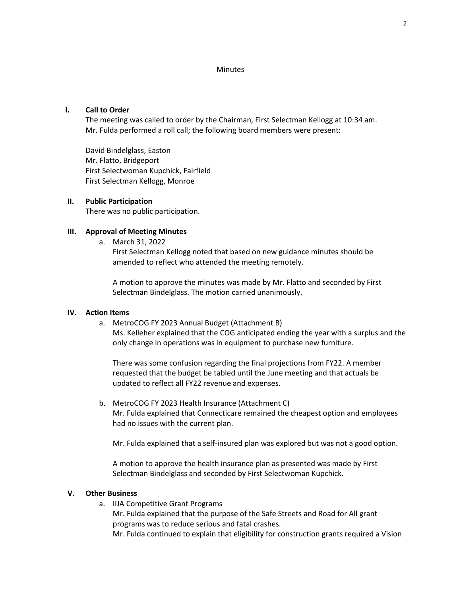#### **Minutes**

### **I. Call to Order**

The meeting was called to order by the Chairman, First Selectman Kellogg at 10:34 am. Mr. Fulda performed a roll call; the following board members were present:

David Bindelglass, Easton Mr. Flatto, Bridgeport First Selectwoman Kupchick, Fairfield First Selectman Kellogg, Monroe

## **II. Public Participation**

There was no public participation.

## **III. Approval of Meeting Minutes**

a. March 31, 2022

First Selectman Kellogg noted that based on new guidance minutes should be amended to reflect who attended the meeting remotely.

A motion to approve the minutes was made by Mr. Flatto and seconded by First Selectman Bindelglass. The motion carried unanimously.

#### **IV. Action Items**

a. MetroCOG FY 2023 Annual Budget (Attachment B)

Ms. Kelleher explained that the COG anticipated ending the year with a surplus and the only change in operations was in equipment to purchase new furniture.

There was some confusion regarding the final projections from FY22. A member requested that the budget be tabled until the June meeting and that actuals be updated to reflect all FY22 revenue and expenses.

b. MetroCOG FY 2023 Health Insurance (Attachment C) Mr. Fulda explained that Connecticare remained the cheapest option and employees had no issues with the current plan.

Mr. Fulda explained that a self-insured plan was explored but was not a good option.

A motion to approve the health insurance plan as presented was made by First Selectman Bindelglass and seconded by First Selectwoman Kupchick.

#### **V. Other Business**

a. IIJA Competitive Grant Programs Mr. Fulda explained that the purpose of the Safe Streets and Road for All grant programs was to reduce serious and fatal crashes. Mr. Fulda continued to explain that eligibility for construction grants required a Vision